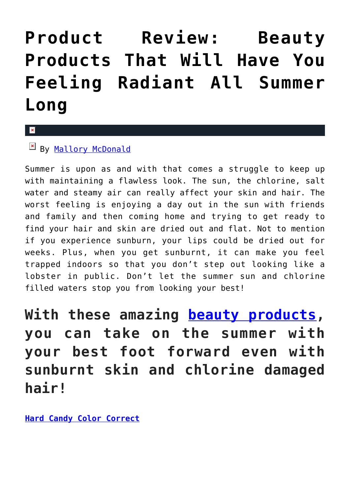# **[Product Review: Beauty](https://cupidspulse.com/118547/product-review-beauty-products-feeling-summer/) [Products That Will Have You](https://cupidspulse.com/118547/product-review-beauty-products-feeling-summer/) [Feeling Radiant All Summer](https://cupidspulse.com/118547/product-review-beauty-products-feeling-summer/) [Long](https://cupidspulse.com/118547/product-review-beauty-products-feeling-summer/)**

#### $\mathbf{x}$

# By [Mallory McDonald](http://cupidspulse.com/114888/mallory-mcdonald/)

Summer is upon as and with that comes a struggle to keep up with maintaining a flawless look. The sun, the chlorine, salt water and steamy air can really affect your skin and hair. The worst feeling is enjoying a day out in the sun with friends and family and then coming home and trying to get ready to find your hair and skin are dried out and flat. Not to mention if you experience sunburn, your lips could be dried out for weeks. Plus, when you get sunburnt, it can make you feel trapped indoors so that you don't step out looking like a lobster in public. Don't let the summer sun and chlorine filled waters stop you from looking your best!

**With these amazing [beauty products,](http://cupidspulse.com/beauty/) you can take on the summer with your best foot forward even with sunburnt skin and chlorine damaged hair!**

**[Hard Candy Color Correct](http://www.hardcandy.com)**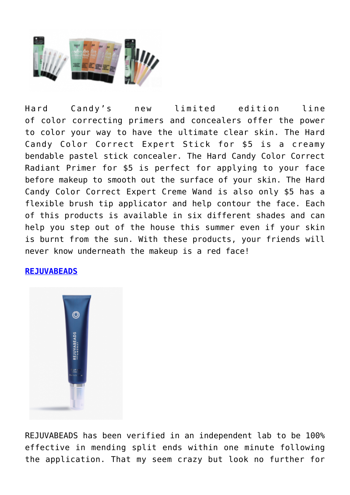

Hard Candy's new limited edition line of color correcting primers and concealers offer the power to color your way to have the ultimate clear skin. The Hard Candy Color Correct Expert Stick for \$5 is a creamy bendable pastel stick concealer. The Hard Candy Color Correct Radiant Primer for \$5 is perfect for applying to your face before makeup to smooth out the surface of your skin. The Hard Candy Color Correct Expert Creme Wand is also only \$5 has a flexible brush tip applicator and help contour the face. Each of this products is available in six different shades and can help you step out of the house this summer even if your skin is burnt from the sun. With these products, your friends will never know underneath the makeup is a red face!

## **[REJUVABEADS](http://monatglobal.com/rejuvabeads-by-monat/)**



REJUVABEADS has been verified in an independent lab to be 100% effective in mending split ends within one minute following the application. That my seem crazy but look no further for